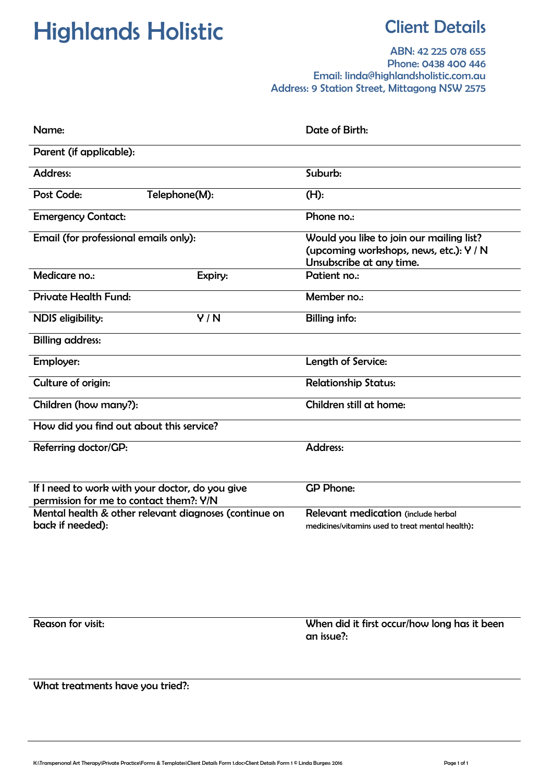## Highlands Holistic **Client Details**

ABN: 42 225 078 655 Phone: 0438 400 446 Email: linda@highlandsholistic.com.au Address: 9 Station Street, Mittagong NSW 2575

| Name:                                                                                      | Date of Birth:                                   |  |  |
|--------------------------------------------------------------------------------------------|--------------------------------------------------|--|--|
| Parent (if applicable):                                                                    |                                                  |  |  |
| <b>Address:</b>                                                                            | Suburb:                                          |  |  |
| Post Code:<br>Telephone(M):                                                                | $(H)$ :                                          |  |  |
| <b>Emergency Contact:</b>                                                                  | Phone no.:                                       |  |  |
| Email (for professional emails only):                                                      | Would you like to join our mailing list?         |  |  |
|                                                                                            | (upcoming workshops, news, etc.): Y / N          |  |  |
|                                                                                            | Unsubscribe at any time.                         |  |  |
| Medicare no.:<br>Expiry:                                                                   | Patient no.:                                     |  |  |
| <b>Private Health Fund:</b>                                                                | Member no.:                                      |  |  |
| Y/N<br>NDIS eligibility:                                                                   | <b>Billing info:</b>                             |  |  |
| <b>Billing address:</b>                                                                    |                                                  |  |  |
| Employer:                                                                                  | Length of Service:                               |  |  |
| Culture of origin:                                                                         | <b>Relationship Status:</b>                      |  |  |
| Children (how many?):                                                                      | Children still at home:                          |  |  |
| How did you find out about this service?                                                   |                                                  |  |  |
| Referring doctor/GP:                                                                       | <b>Address:</b>                                  |  |  |
|                                                                                            |                                                  |  |  |
| If I need to work with your doctor, do you give<br>permission for me to contact them?: Y/N | <b>GP Phone:</b>                                 |  |  |
| Mental health & other relevant diagnoses (continue on                                      | Relevant medication (include herbal              |  |  |
| back if needed):                                                                           | medicines/vitamins used to treat mental health): |  |  |

Reason for visit:<br>
When did it first occur/how long has it been an issue?:

What treatments have you tried?: